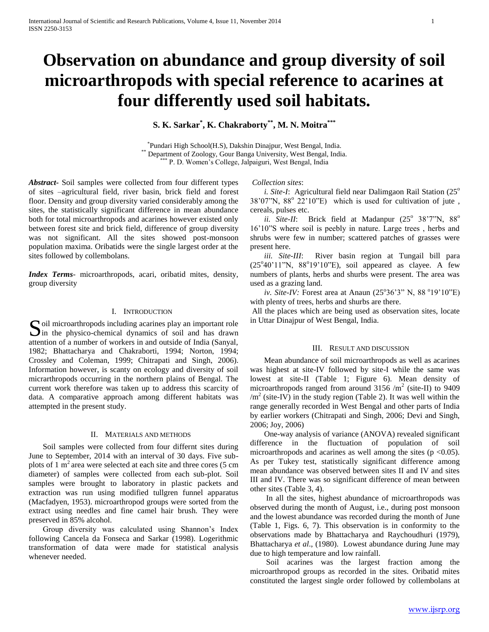# **Observation on abundance and group diversity of soil microarthropods with special reference to acarines at four differently used soil habitats.**

**S. K. Sarkar\* , K. Chakraborty\*\*, M. N. Moitra\*\*\***

\* Pundari High School(H.S), Dakshin Dinajpur, West Bengal, India. \*\* Department of Zoology, Gour Banga University, West Bengal, India. \*\*\* P. D. Women's College, Jalpaiguri, West Bengal, India

*Abstract***-** Soil samples were collected from four different types of sites –agricultural field, river basin, brick field and forest floor. Density and group diversity varied considerably among the sites, the statistically significant difference in mean abundance both for total microarthropods and acarines however existed only between forest site and brick field, difference of group diversity was not significant. All the sites showed post-monsoon population maxima. Oribatids were the single largest order at the sites followed by collembolans.

*Index Terms*- microarthropods, acari, oribatid mites, density, group diversity

## I. INTRODUCTION

oil microarthropods including acarines play an important role Soil microarthropods including acarines play an important role<br>in the physico-chemical dynamics of soil and has drawn attention of a number of workers in and outside of India (Sanyal, 1982; Bhattacharya and Chakraborti, 1994; Norton, 1994; Crossley and Coleman, 1999; Chitrapati and Singh, 2006). Information however, is scanty on ecology and diversity of soil micrarthropods occurring in the northern plains of Bengal. The current work therefore was taken up to address this scarcity of data. A comparative approach among different habitats was attempted in the present study.

## II. MATERIALS AND METHODS

 Soil samples were collected from four differnt sites during June to September, 2014 with an interval of 30 days. Five subplots of 1  $m<sup>2</sup>$  area were selected at each site and three cores (5 cm diameter) of samples were collected from each sub-plot. Soil samples were brought to laboratory in plastic packets and extraction was run using modified tullgren funnel apparatus (Macfadyen, 1953). microarthropod groups were sorted from the extract using needles and fine camel hair brush. They were preserved in 85% alcohol.

 Group diversity was calculated using Shannon's Index following Cancela da Fonseca and Sarkar (1998). Logerithmic transformation of data were made for statistical analysis whenever needed.

*Collection sites*:

*i. Site-I*: Agricultural field near Dalimgaon Rail Station  $(25^{\circ})$  $38'07''N$ ,  $88°22'10''E$ ) which is used for cultivation of jute, cereals, pulses etc.

*ii.* Site-II: Brick field at Madanpur  $(25^{\circ} \ 38^{\circ}7^{\circ})$ N,  $88^{\circ}$ 16'10"S where soil is peebly in nature. Large trees , herbs and shrubs were few in number; scattered patches of grasses were present here.

 *iii. Site-III*: River basin region at Tungail bill para  $(25^{\circ}40'11''N, 88^{\circ}19'10''E)$ , soil appeared as clayee. A few numbers of plants, herbs and shurbs were present. The area was used as a grazing land.

*iv. Site-IV:* Forest area at Anaun (25°36'3" N, 88 °19'10"E) with plenty of trees, herbs and shurbs are there.

All the places which are being used as observation sites, locate in Uttar Dinajpur of West Bengal, India.

#### III. RESULT AND DISCUSSION

 Mean abundance of soil microarthropods as well as acarines was highest at site-IV followed by site-I while the same was lowest at site-II (Table 1; Figure 6). Mean density of microarthropods ranged from around  $3156 / m^2$  (site-II) to 9409  $/m<sup>2</sup>$  (site-IV) in the study region (Table 2). It was well within the range generally recorded in West Bengal and other parts of India by earlier workers (Chitrapati and Singh, 2006; Devi and Singh, 2006; Joy, 2006)

 One-way analysis of variance (ANOVA) revealed significant difference in the fluctuation of population of soil microarthropods and acarines as well among the sites ( $p < 0.05$ ). As per Tukey test, statistically significant difference among mean abundance was observed between sites II and IV and sites III and IV. There was so significant difference of mean between other sites (Table 3, 4).

 In all the sites, highest abundance of microarthropods was observed during the month of August, i.e., during post monsoon and the lowest abundance was recorded during the month of June (Table 1, Figs. 6, 7). This observation is in conformity to the observations made by Bhattacharya and Raychoudhuri (1979), Bhattacharya *et al*., (1980). Lowest abundance during June may due to high temperature and low rainfall.

 Soil acarines was the largest fraction among the microarthropod groups as recorded in the sites. Oribatid mites constituted the largest single order followed by collembolans at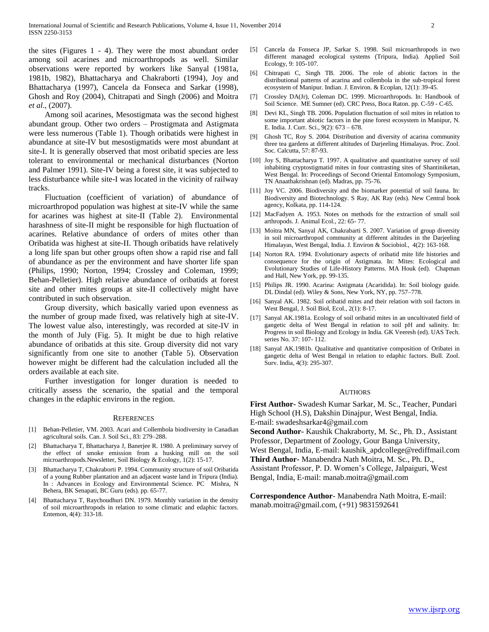the sites (Figures 1 - 4). They were the most abundant order among soil acarines and microarthropods as well. Similar observations were reported by workers like Sanyal (1981a, 1981b, 1982), Bhattacharya and Chakraborti (1994), Joy and Bhattacharya (1997), Cancela da Fonseca and Sarkar (1998), Ghosh and Roy (2004), Chitrapati and Singh (2006) and Moitra *et al*., (2007).

 Among soil acarines, Mesostigmata was the second highest abundant group. Other two orders – Prostigmata and Astigmata were less numerous (Table 1). Though oribatids were highest in abundance at site-IV but mesostigmatids were most abundant at site-I. It is generally observed that most oribatid species are less tolerant to environmental or mechanical disturbances (Norton and Palmer 1991). Site-IV being a forest site, it was subjected to less disturbance while site-I was located in the vicinity of railway tracks.

 Fluctuation (coefficient of variation) of abundance of microarthropod population was highest at site-IV while the same for acarines was highest at site-II (Table 2). Environmental harashness of site-II might be responsible for high fluctuation of acarines. Relative abundance of orders of mites other than Oribatida was highest at site-II. Though oribatids have relatively a long life span but other groups often show a rapid rise and fall of abundance as per the environment and have shorter life span (Philips, 1990; Norton, 1994; Crossley and Coleman, 1999; Behan-Pelletier). High relative abundance of oribatids at forest site and other mites groups at site-II collectively might have contributed in such observation.

 Group diversity, which basically varied upon evenness as the number of group made fixed, was relatively high at site-IV. The lowest value also, interestingly, was recorded at site-IV in the month of July (Fig. 5). It might be due to high relative abundance of oribatids at this site. Group diversity did not vary significantly from one site to another (Table 5). Observation however might be different had the calculation included all the orders available at each site.

 Further investigation for longer duration is needed to critically assess the scenario, the spatial and the temporal changes in the edaphic environs in the region.

#### **REFERENCES**

- [1] Behan-Pelletier, VM. 2003. Acari and Collembola biodiversity in Canadian agricultural soils. Can. J. Soil Sci., 83: 279–288.
- [2] Bhattacharya T, Bhattacharya J, Banerjee R. 1980. A preliminary survey of the effect of smoke emission from a husking mill on the soil microarthropods.Newsletter, Soil Biology & Ecology, 1(2): 15-17.
- [3] Bhattacharya T, Chakraborti P. 1994. Community structure of soil Oribatida of a young Rubber plantation and an adjacent waste land in Tripura (India). In : Advances in Ecology and Environmental Science. PC Mishra, N Behera, BK Senapati, BC Guru (eds). pp. 65-77.
- [4] Bhattacharya T, Raychoudhuri DN. 1979. Monthly variation in the density of soil microarthropods in relation to some climatic and edaphic factors. Entemon, 4(4): 313-18.
- [5] Cancela da Fonseca JP, Sarkar S. 1998. Soil microarthropods in two different managed ecological systems (Tripura, India). Applied Soil Ecology, 9: 105-107.
- [6] Chitrapati C, Singh TB. 2006. The role of abiotic factors in the distributional patterns of acarina and collembola in the sub-tropical forest ecosystem of Manipur. Indian. J. Environ. & Ecoplan, 12(1): 39-45.
- [7] Crossley DA(Jr), Coleman DC. 1999. Microarthropods. In: Handbook of Soil Science. ME Sumner (ed). CRC Press, Boca Raton. pp. C-59 - C-65.
- [8] Devi KL, Singh TB. 2006. Population fluctuation of soil mites in relation to some important abiotic factors in the pine forest ecosystem in Manipur, N. E. India. J. Curr. Sci., 9(2): 673 – 678.
- [9] Ghosh TC, Roy S. 2004. Distribution and diversity of acarina community three tea gardens at different altitudes of Darjeeling Himalayas. Proc. Zool. Soc. Calcutta, 57: 87-93.
- [10] Joy S, Bhattacharya T. 1997. A qualitative and quantitative survey of soil inhabiting cryptostigmatid mites in four contrasting sites of Shantiniketan, West Bengal. In: Proceedings of Second Oriental Entomology Symposium, TN Anaathakrishnan (ed). Madras, pp. 75-76.
- [11] Joy VC. 2006. Biodiversity and the biomarker potential of soil fauna. In: Biodiversity and Biotechnology. S Ray, AK Ray (eds). New Central book agency, Kolkata, pp. 114-124.
- [12] MacFadyen A. 1953. Notes on methods for the extraction of small soil arthropods. J. Animal Ecol., 22: 65- 77.
- [13] Moitra MN, Sanyal AK, Chakrabarti S. 2007. Variation of group diversity in soil microarthropod community at different altitudes in the Darjeeling Himalayas, West Bengal, India. J. Environ & Sociobiol., 4(2): 163-168.
- [14] Norton RA. 1994. Evolutionary aspects of oribatid mite life histories and consequence for the origin of Astigmata. In: Mites: Ecological and Evolutionary Studies of Life-History Patterns. MA Houk (ed). Chapman and Hall, New York, pp. 99-135.
- [15] Philips JR. 1990. Acarina: Astigmata (Acaridida). In: Soil biology guide. DL Dindal (ed). Wiley & Sons, New York, NY, pp. 757–778.
- [16] Sanyal AK. 1982. Soil oribatid mites and their relation with soil factors in West Bengal, J. Soil Biol, Ecol., 2(1): 8-17.
- [17] Sanyal AK.1981a. Ecology of soil oribatid mites in an uncultivated field of gangetic delta of West Bengal in relation to soil pH and salinity. In: Progress in soil Biology and Ecology in India. GK Veeresh (ed). UAS Tech. series No. 37: 107- 112.
- [18] Sanyal AK.1981b. Qualitative and quantitative composition of Oribatei in gangetic delta of West Bengal in relation to edaphic factors. Bull. Zool. Surv. India, 4(3): 295-307.

#### AUTHORS

**First Author-** Swadesh Kumar Sarkar, M. Sc., Teacher, Pundari High School (H.S), Dakshin Dinajpur, West Bengal, India. E-mail: swadeshsarkar4@gmail.com

**Second Author-** Kaushik Chakraborty, M. Sc., Ph. D., Assistant Professor, Department of Zoology, Gour Banga University, West Bengal, India, E-mail: kaushik\_apdcollege@rediffmail.com **Third Author-** Manabendra Nath Moitra, M. Sc., Ph. D., Assistant Professor, P. D. Women's College, Jalpaiguri, West Bengal, India, E-mail: manab.moitra@gmail.com

**Correspondence Author**- Manabendra Nath Moitra, E-mail: manab.moitra@gmail.com, (+91) 9831592641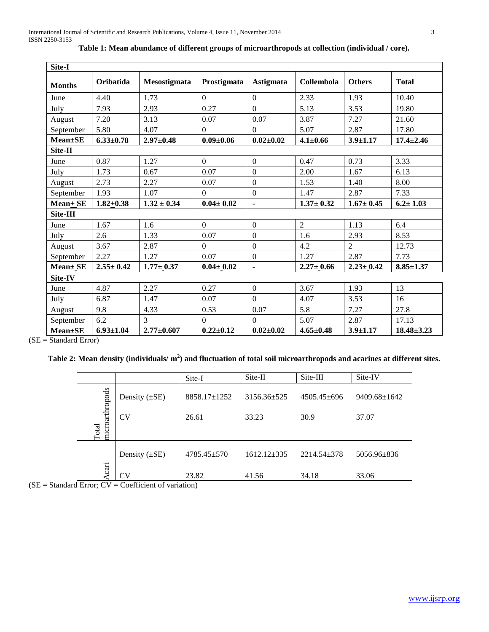| Site-I         |                 |                  |                 |                  |                 |                 |                  |
|----------------|-----------------|------------------|-----------------|------------------|-----------------|-----------------|------------------|
| <b>Months</b>  | Oribatida       | Mesostigmata     | Prostigmata     | <b>Astigmata</b> | Collembola      | <b>Others</b>   | <b>Total</b>     |
| June           | 4.40            | 1.73             | $\Omega$        | $\Omega$         | 2.33            | 1.93            | 10.40            |
| July           | 7.93            | 2.93             | 0.27            | $\overline{0}$   | 5.13            | 3.53            | 19.80            |
| August         | 7.20            | 3.13             | 0.07            | 0.07             | 3.87            | 7.27            | 21.60            |
| September      | 5.80            | 4.07             | $\Omega$        | $\mathbf{0}$     | 5.07            | 2.87            | 17.80            |
| $Mean \pm SE$  | $6.33 \pm 0.78$ | $2.97 \pm 0.48$  | $0.09 \pm 0.06$ | $0.02 \pm 0.02$  | $4.1 \pm 0.66$  | $3.9 \pm 1.17$  | $17.4 \pm 2.46$  |
| Site-II        |                 |                  |                 |                  |                 |                 |                  |
| June           | 0.87            | 1.27             | $\overline{0}$  | $\overline{0}$   | 0.47            | 0.73            | 3.33             |
| July           | 1.73            | 0.67             | 0.07            | $\overline{0}$   | 2.00            | 1.67            | 6.13             |
| August         | 2.73            | 2.27             | 0.07            | $\mathbf{0}$     | 1.53            | 1.40            | 8.00             |
| September      | 1.93            | 1.07             | $\Omega$        | $\overline{0}$   | 1.47            | 2.87            | 7.33             |
| $Mean + SE$    | $1.82 + 0.38$   | $1.32 \pm 0.34$  | $0.04 \pm 0.02$ | $\blacksquare$   | $1.37 \pm 0.32$ | $1.67 \pm 0.45$ | $6.2 \pm 1.03$   |
| Site-III       |                 |                  |                 |                  |                 |                 |                  |
| June           | 1.67            | 1.6              | $\Omega$        | $\mathbf{0}$     | $\overline{2}$  | 1.13            | 6.4              |
| July           | 2.6             | 1.33             | 0.07            | $\overline{0}$   | 1.6             | 2.93            | 8.53             |
| August         | 3.67            | 2.87             | $\mathbf{0}$    | $\overline{0}$   | 4.2             | $\overline{2}$  | 12.73            |
| September      | 2.27            | 1.27             | 0.07            | $\overline{0}$   | 1.27            | 2.87            | 7.73             |
| Mean± SE       | $2.55 \pm 0.42$ | $1.77 \pm 0.37$  | $0.04 \pm 0.02$ | $\blacksquare$   | $2.27 \pm 0.66$ | $2.23 \pm 0.42$ | $8.85 \pm 1.37$  |
| Site-IV        |                 |                  |                 |                  |                 |                 |                  |
| June           | 4.87            | 2.27             | 0.27            | $\mathbf{0}$     | 3.67            | 1.93            | 13               |
| July           | 6.87            | 1.47             | 0.07            | $\theta$         | 4.07            | 3.53            | 16               |
| August         | 9.8             | 4.33             | 0.53            | 0.07             | 5.8             | 7.27            | 27.8             |
| September      | 6.2             | 3                | $\overline{0}$  | $\Omega$         | 5.07            | 2.87            | 17.13            |
| <b>Mean±SE</b> | $6.93 \pm 1.04$ | $2.77 \pm 0.607$ | $0.22 \pm 0.12$ | $0.02 \pm 0.02$  | $4.65 \pm 0.48$ | $3.9 \pm 1.17$  | $18.48 \pm 3.23$ |

**Table 1: Mean abundance of different groups of microarthropods at collection (individual / core).**

(SE = Standard Error)

**Table 2: Mean density (individuals/ m<sup>2</sup> ) and fluctuation of total soil microarthropods and acarines at different sites.**

|                                 |                    | Site-I             | Site-II           | Site-III          | Site-IV            |
|---------------------------------|--------------------|--------------------|-------------------|-------------------|--------------------|
|                                 | Density $(\pm SE)$ | $8858.17 \pm 1252$ | $3156.36 \pm 525$ | $4505.45\pm696$   | $9409.68 \pm 1642$ |
| microarthropods<br><b>Total</b> | <b>CV</b>          | 26.61              | 33.23             | 30.9              | 37.07              |
|                                 | Density $(\pm SE)$ | $4785.45 \pm 570$  | $1612.12\pm335$   | $2214.54 \pm 378$ | 5056.96±836        |
| cari                            | CV                 | 23.82              | 41.56             | 34.18             | 33.06              |

 $(SE = Standard Error; CV = Coefficient of variation)$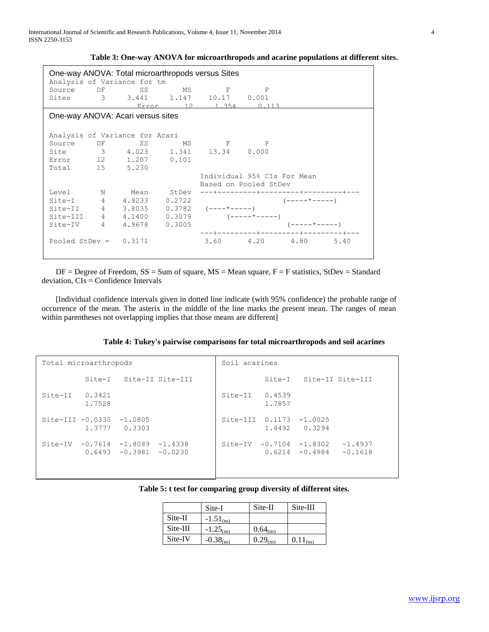International Journal of Scientific and Research Publications, Volume 4, Issue 11, November 2014 4 ISSN 2250-3153

| Table 3: One-way ANOVA for microarthropods and acarine populations at different sites. |  |  |
|----------------------------------------------------------------------------------------|--|--|
|                                                                                        |  |  |

| DF      | SS           |                                                        |                                                                                                                                                         |                                                                                                               |                                                                                                                                                           |                                                                                                                                                                                                                                                                    |
|---------|--------------|--------------------------------------------------------|---------------------------------------------------------------------------------------------------------------------------------------------------------|---------------------------------------------------------------------------------------------------------------|-----------------------------------------------------------------------------------------------------------------------------------------------------------|--------------------------------------------------------------------------------------------------------------------------------------------------------------------------------------------------------------------------------------------------------------------|
|         |              |                                                        |                                                                                                                                                         |                                                                                                               |                                                                                                                                                           |                                                                                                                                                                                                                                                                    |
|         |              |                                                        |                                                                                                                                                         |                                                                                                               |                                                                                                                                                           |                                                                                                                                                                                                                                                                    |
|         |              |                                                        |                                                                                                                                                         |                                                                                                               |                                                                                                                                                           |                                                                                                                                                                                                                                                                    |
|         |              |                                                        |                                                                                                                                                         |                                                                                                               |                                                                                                                                                           |                                                                                                                                                                                                                                                                    |
|         |              |                                                        |                                                                                                                                                         |                                                                                                               |                                                                                                                                                           |                                                                                                                                                                                                                                                                    |
| Level N |              |                                                        |                                                                                                                                                         |                                                                                                               |                                                                                                                                                           |                                                                                                                                                                                                                                                                    |
|         |              |                                                        |                                                                                                                                                         |                                                                                                               |                                                                                                                                                           |                                                                                                                                                                                                                                                                    |
|         |              |                                                        |                                                                                                                                                         |                                                                                                               |                                                                                                                                                           |                                                                                                                                                                                                                                                                    |
|         |              |                                                        |                                                                                                                                                         |                                                                                                               |                                                                                                                                                           |                                                                                                                                                                                                                                                                    |
|         |              |                                                        |                                                                                                                                                         |                                                                                                               |                                                                                                                                                           |                                                                                                                                                                                                                                                                    |
|         |              |                                                        |                                                                                                                                                         |                                                                                                               |                                                                                                                                                           |                                                                                                                                                                                                                                                                    |
|         |              |                                                        |                                                                                                                                                         |                                                                                                               |                                                                                                                                                           |                                                                                                                                                                                                                                                                    |
|         |              |                                                        |                                                                                                                                                         |                                                                                                               |                                                                                                                                                           |                                                                                                                                                                                                                                                                    |
|         | Source<br>DF | Total 15 5.230<br>Site-II 4<br>Pooled StDev = $0.3171$ | Analysis of Variance for tm<br>One-way ANOVA: Acari versus sites<br>Analysis of Variance for Acari<br>Error 12 1.207 0.101<br>Site-I 4 4.9233<br>3.8035 | One-way ANOVA: Total microarthropods versus Sites<br>SS MS<br>MS —<br>Mean StDev<br>0.2722<br>4 4.9678 0.3005 | $\mathbf{F}$ and $\mathbf{F}$<br>$\mathbb{P}$<br>Sites 3 3.441 1.147 10.17 0.001<br><b>E</b> P<br>Site 3 4.023 1.341 13.34 0.000<br>$0.3782$ $(----+---)$ | Error 12 1.354 0.113<br>Individual 95% CIs For Mean<br>Based on Pooled StDev<br>---+---------+---------+--------+---<br>$(----+---)$<br>Site-III $4$ $4.1400$ $0.3079$ $(----+---)$<br>$(----+---)$<br>---+---------+---------+--------+---<br>3.60 4.20 4.80 5.40 |

 $DF = Degree$  of Freedom,  $SS = Sum$  of square,  $MS = Mean$  square,  $F = F$  statistics,  $StDev = Standard$ deviation, CIs = Confidence Intervals

 [Individual confidence intervals given in dotted line indicate (with 95% confidence) the probable range of occurrence of the mean. The asterix in the middle of the line marks the present mean. The ranges of mean within parentheses not overlapping implies that those means are different]

|  |  |  |  |  | Table 4: Tukey's pairwise comparisons for total microarthropods and soil acarines |  |  |  |  |  |  |  |  |  |  |  |
|--|--|--|--|--|-----------------------------------------------------------------------------------|--|--|--|--|--|--|--|--|--|--|--|
|--|--|--|--|--|-----------------------------------------------------------------------------------|--|--|--|--|--|--|--|--|--|--|--|

| Total microarthropods   |        |                                                         |                         | Soil acarines           |        |                                                            |           |  |
|-------------------------|--------|---------------------------------------------------------|-------------------------|-------------------------|--------|------------------------------------------------------------|-----------|--|
|                         |        |                                                         | Site-I Site-II Site-III |                         |        | Site-I Site-II Site-III                                    |           |  |
| $Site-TI \qquad 0.3421$ | 1.7528 |                                                         |                         | $Site-TI \qquad 0.4539$ | 1.7857 |                                                            |           |  |
| Site-III $-0.0330$      |        | $-1.0805$<br>1.3777 0.3303                              |                         | Site-III 0.1173 -1.0025 |        | 1.4492 0.3294                                              |           |  |
|                         |        | $Site-TV -0.7614 -1.8089$<br>$0.6493 - 0.3981 - 0.0230$ | $-1.4338$               |                         |        | Site-IV $-0.7104$ $-1.8302$ $-1.4937$<br>$0.6214 - 0.4984$ | $-0.1618$ |  |

|  |  |  | Table 5: t test for comparing group diversity of different sites. |  |  |
|--|--|--|-------------------------------------------------------------------|--|--|
|--|--|--|-------------------------------------------------------------------|--|--|

|            | Site-I                | Site-II       | Site-III |
|------------|-----------------------|---------------|----------|
| Site-II    | $-1.51_{\text{(ns)}}$ |               |          |
| $Site-III$ | $-1.25_{\text{(ns)}}$ | $0.64_{(ns)}$ |          |
| Site-IV    | $-0.38_{\text{(ns)}}$ | $0.29_{(ns)}$ | (ns)     |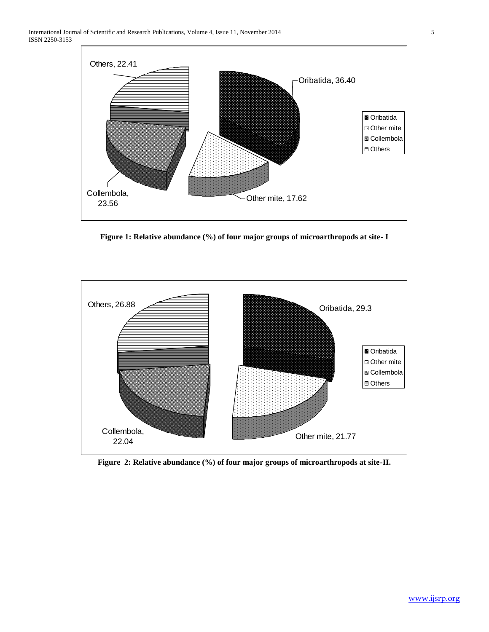

**Figure 1: Relative abundance (%) of four major groups of microarthropods at site- I**



**Figure 2: Relative abundance (%) of four major groups of microarthropods at site-II.**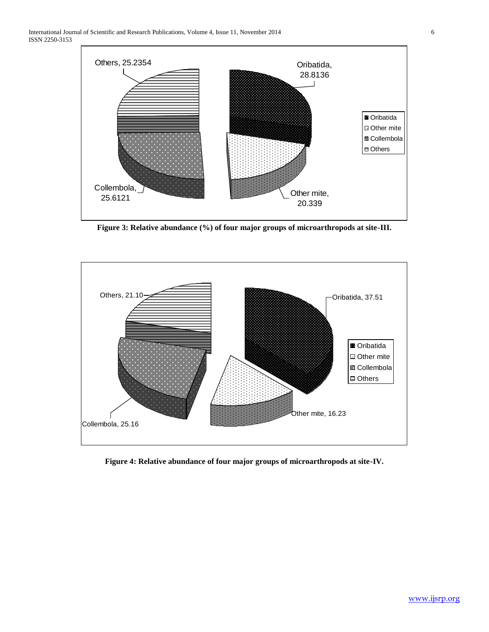

**Figure 3: Relative abundance (%) of four major groups of microarthropods at site-III.**



**Figure 4: Relative abundance of four major groups of microarthropods at site-IV.**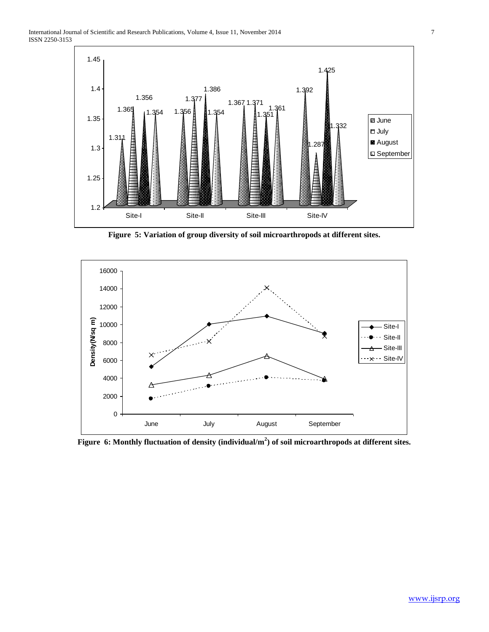

**Figure 5: Variation of group diversity of soil microarthropods at different sites.**



**Figure 6: Monthly fluctuation of density (individual/m<sup>2</sup> ) of soil microarthropods at different sites.**